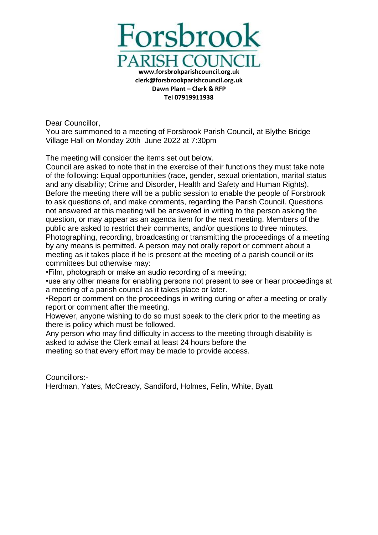

Dear Councillor,

You are summoned to a meeting of Forsbrook Parish Council, at Blythe Bridge Village Hall on Monday 20th June 2022 at 7:30pm

The meeting will consider the items set out below.

Council are asked to note that in the exercise of their functions they must take note of the following: Equal opportunities (race, gender, sexual orientation, marital status and any disability; Crime and Disorder, Health and Safety and Human Rights). Before the meeting there will be a public session to enable the people of Forsbrook to ask questions of, and make comments, regarding the Parish Council. Questions not answered at this meeting will be answered in writing to the person asking the question, or may appear as an agenda item for the next meeting. Members of the public are asked to restrict their comments, and/or questions to three minutes. Photographing, recording, broadcasting or transmitting the proceedings of a meeting by any means is permitted. A person may not orally report or comment about a meeting as it takes place if he is present at the meeting of a parish council or its committees but otherwise may:

•Film, photograph or make an audio recording of a meeting;

•use any other means for enabling persons not present to see or hear proceedings at a meeting of a parish council as it takes place or later.

•Report or comment on the proceedings in writing during or after a meeting or orally report or comment after the meeting.

However, anyone wishing to do so must speak to the clerk prior to the meeting as there is policy which must be followed.

Any person who may find difficulty in access to the meeting through disability is asked to advise the Clerk email at least 24 hours before the

meeting so that every effort may be made to provide access.

Councillors:- Herdman, Yates, McCready, Sandiford, Holmes, Felin, White, Byatt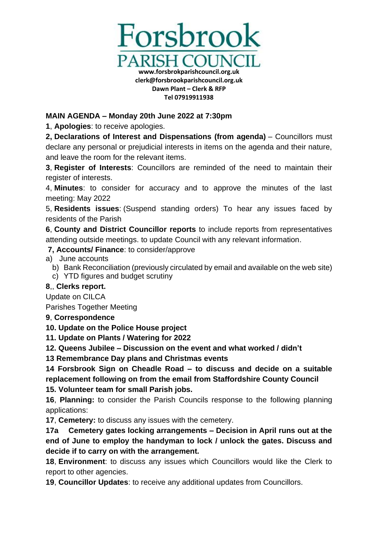

## **MAIN AGENDA – Monday 20th June 2022 at 7:30pm**

**1**, **Apologies**: to receive apologies.

**2, Declarations of Interest and Dispensations (from agenda)** – Councillors must declare any personal or prejudicial interests in items on the agenda and their nature, and leave the room for the relevant items.

**3**, **Register of Interests**: Councillors are reminded of the need to maintain their register of interests.

4, **Minutes**: to consider for accuracy and to approve the minutes of the last meeting: May 2022

5, **Residents issues**: (Suspend standing orders) To hear any issues faced by residents of the Parish

**6**, **County and District Councillor reports** to include reports from representatives attending outside meetings. to update Council with any relevant information.

**7, Accounts/ Finance**: to consider/approve

- a) June accounts
	- b) Bank Reconciliation (previously circulated by email and available on the web site)
	- c) YTD figures and budget scrutiny

## **8**,, **Clerks report.**

Update on CILCA

Parishes Together Meeting

## **9**, **Correspondence**

**10. Update on the Police House project**

**11. Update on Plants / Watering for 2022** 

**12. Queens Jubilee – Discussion on the event and what worked / didn't**

**13 Remembrance Day plans and Christmas events**

**14 Forsbrook Sign on Cheadle Road – to discuss and decide on a suitable replacement following on from the email from Staffordshire County Council 15. Volunteer team for small Parish jobs.**

**16**, **Planning:** to consider the Parish Councils response to the following planning applications:

**17**, **Cemetery:** to discuss any issues with the cemetery.

**17a Cemetery gates locking arrangements – Decision in April runs out at the end of June to employ the handyman to lock / unlock the gates. Discuss and decide if to carry on with the arrangement.**

**18**, **Environment**: to discuss any issues which Councillors would like the Clerk to report to other agencies.

**19**, **Councillor Updates**: to receive any additional updates from Councillors.